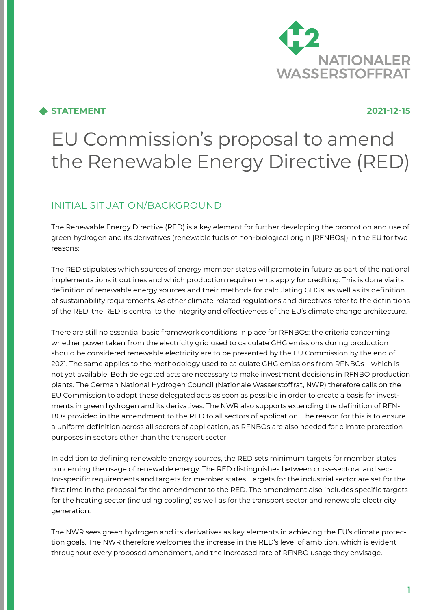

## **STATEMENT 2021-12-15**

# EU Commission's proposal to amend the Renewable Energy Directive (RED)

# INITIAL SITUATION/BACKGROUND

The Renewable Energy Directive (RED) is a key element for further developing the promotion and use of green hydrogen and its derivatives (renewable fuels of non-biological origin [RFNBOs]) in the EU for two reasons:

The RED stipulates which sources of energy member states will promote in future as part of the national implementations it outlines and which production requirements apply for crediting. This is done via its definition of renewable energy sources and their methods for calculating GHGs, as well as its definition of sustainability requirements. As other climate-related regulations and directives refer to the definitions of the RED, the RED is central to the integrity and effectiveness of the EU's climate change architecture.

There are still no essential basic framework conditions in place for RFNBOs: the criteria concerning whether power taken from the electricity grid used to calculate GHG emissions during production should be considered renewable electricity are to be presented by the EU Commission by the end of 2021. The same applies to the methodology used to calculate GHG emissions from RFNBOs – which is not yet available. Both delegated acts are necessary to make investment decisions in RFNBO production plants. The German National Hydrogen Council (Nationale Wasserstoffrat, NWR) therefore calls on the EU Commission to adopt these delegated acts as soon as possible in order to create a basis for investments in green hydrogen and its derivatives. The NWR also supports extending the definition of RFN-BOs provided in the amendment to the RED to all sectors of application. The reason for this is to ensure a uniform definition across all sectors of application, as RFNBOs are also needed for climate protection purposes in sectors other than the transport sector.

In addition to defining renewable energy sources, the RED sets minimum targets for member states concerning the usage of renewable energy. The RED distinguishes between cross-sectoral and sector-specific requirements and targets for member states. Targets for the industrial sector are set for the first time in the proposal for the amendment to the RED. The amendment also includes specific targets for the heating sector (including cooling) as well as for the transport sector and renewable electricity generation.

The NWR sees green hydrogen and its derivatives as key elements in achieving the EU's climate protection goals. The NWR therefore welcomes the increase in the RED's level of ambition, which is evident throughout every proposed amendment, and the increased rate of RFNBO usage they envisage.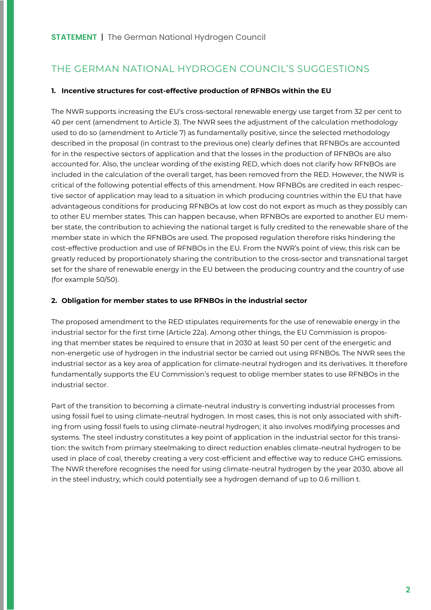# THE GERMAN NATIONAL HYDROGEN COUNCIL'S SUGGESTIONS

#### **1. Incentive structures for cost-effective production of RFNBOs within the EU**

The NWR supports increasing the EU's cross-sectoral renewable energy use target from 32 per cent to 40 per cent (amendment to Article 3). The NWR sees the adjustment of the calculation methodology used to do so (amendment to Article 7) as fundamentally positive, since the selected methodology described in the proposal (in contrast to the previous one) clearly defines that RFNBOs are accounted for in the respective sectors of application and that the losses in the production of RFNBOs are also accounted for. Also, the unclear wording of the existing RED, which does not clarify how RFNBOs are included in the calculation of the overall target, has been removed from the RED. However, the NWR is critical of the following potential effects of this amendment. How RFNBOs are credited in each respective sector of application may lead to a situation in which producing countries within the EU that have advantageous conditions for producing RFNBOs at low cost do not export as much as they possibly can to other EU member states. This can happen because, when RFNBOs are exported to another EU member state, the contribution to achieving the national target is fully credited to the renewable share of the member state in which the RFNBOs are used. The proposed regulation therefore risks hindering the cost-effective production and use of RFNBOs in the EU. From the NWR's point of view, this risk can be greatly reduced by proportionately sharing the contribution to the cross-sector and transnational target set for the share of renewable energy in the EU between the producing country and the country of use (for example 50/50).

### **2. Obligation for member states to use RFNBOs in the industrial sector**

The proposed amendment to the RED stipulates requirements for the use of renewable energy in the industrial sector for the first time (Article 22a). Among other things, the EU Commission is proposing that member states be required to ensure that in 2030 at least 50 per cent of the energetic and non-energetic use of hydrogen in the industrial sector be carried out using RFNBOs. The NWR sees the industrial sector as a key area of application for climate-neutral hydrogen and its derivatives. It therefore fundamentally supports the EU Commission's request to oblige member states to use RFNBOs in the industrial sector.

Part of the transition to becoming a climate-neutral industry is converting industrial processes from using fossil fuel to using climate-neutral hydrogen. In most cases, this is not only associated with shifting from using fossil fuels to using climate-neutral hydrogen; it also involves modifying processes and systems. The steel industry constitutes a key point of application in the industrial sector for this transition: the switch from primary steelmaking to direct reduction enables climate-neutral hydrogen to be used in place of coal, thereby creating a very cost-efficient and effective way to reduce GHG emissions. The NWR therefore recognises the need for using climate-neutral hydrogen by the year 2030, above all in the steel industry, which could potentially see a hydrogen demand of up to 0.6 million t.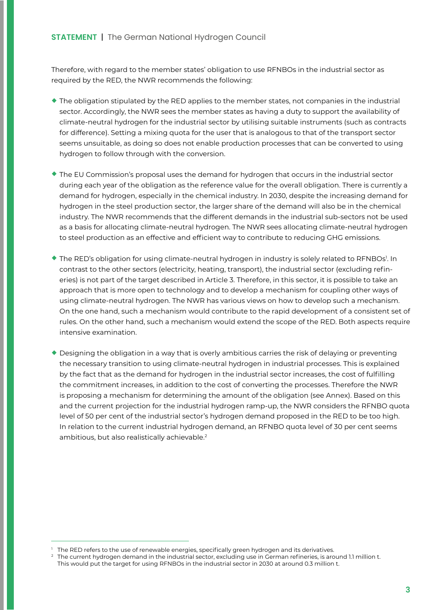Therefore, with regard to the member states' obligation to use RFNBOs in the industrial sector as required by the RED, the NWR recommends the following:

- $\bullet$  The obligation stipulated by the RED applies to the member states, not companies in the industrial sector. Accordingly, the NWR sees the member states as having a duty to support the availability of climate-neutral hydrogen for the industrial sector by utilising suitable instruments (such as contracts for difference). Setting a mixing quota for the user that is analogous to that of the transport sector seems unsuitable, as doing so does not enable production processes that can be converted to using hydrogen to follow through with the conversion.
- ¡ The EU Commission's proposal uses the demand for hydrogen that occurs in the industrial sector during each year of the obligation as the reference value for the overall obligation. There is currently a demand for hydrogen, especially in the chemical industry. In 2030, despite the increasing demand for hydrogen in the steel production sector, the larger share of the demand will also be in the chemical industry. The NWR recommends that the different demands in the industrial sub-sectors not be used as a basis for allocating climate-neutral hydrogen. The NWR sees allocating climate-neutral hydrogen to steel production as an effective and efficient way to contribute to reducing GHG emissions.
- ◆ The RED's obligation for using climate-neutral hydrogen in industry is solely related to RFNBOs<sup>1</sup>. In contrast to the other sectors (electricity, heating, transport), the industrial sector (excluding refineries) is not part of the target described in Article 3. Therefore, in this sector, it is possible to take an approach that is more open to technology and to develop a mechanism for coupling other ways of using climate-neutral hydrogen. The NWR has various views on how to develop such a mechanism. On the one hand, such a mechanism would contribute to the rapid development of a consistent set of rules. On the other hand, such a mechanism would extend the scope of the RED. Both aspects require intensive examination.
- $\bullet$  Designing the obligation in a way that is overly ambitious carries the risk of delaying or preventing the necessary transition to using climate-neutral hydrogen in industrial processes. This is explained by the fact that as the demand for hydrogen in the industrial sector increases, the cost of fulfilling the commitment increases, in addition to the cost of converting the processes. Therefore the NWR is proposing a mechanism for determining the amount of the obligation (see Annex). Based on this and the current projection for the industrial hydrogen ramp-up, the NWR considers the RFNBO quota level of 50 per cent of the industrial sector's hydrogen demand proposed in the RED to be too high. In relation to the current industrial hydrogen demand, an RFNBO quota level of 30 per cent seems ambitious, but also realistically achievable.<sup>2</sup>

The RED refers to the use of renewable energies, specifically green hydrogen and its derivatives.

<sup>2</sup> The current hydrogen demand in the industrial sector, excluding use in German refineries, is around 1.1 million t. This would put the target for using RFNBOs in the industrial sector in 2030 at around 0.3 million t.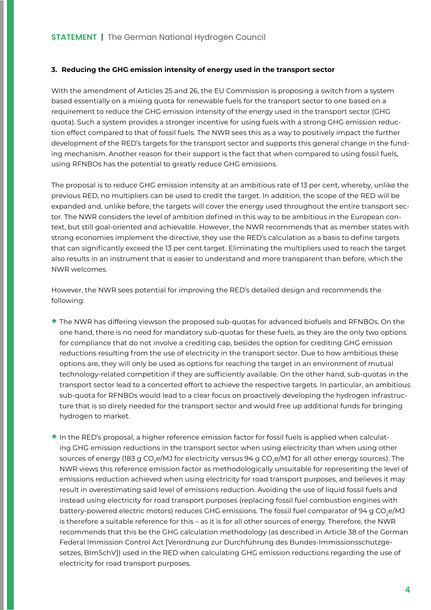#### **3. Reducing the GHG emission intensity of energy used in the transport sector**

With the amendment of Articles 25 and 26, the EU Commission is proposing a switch from a system based essentially on a mixing quota for renewable fuels for the transport sector to one based on a requirement to reduce the GHG emission intensity of the energy used in the transport sector (GHG quota). Such a system provides a stronger incentive for using fuels with a strong GHG emission reduction effect compared to that of fossil fuels. The NWR sees this as a way to positively impact the further development of the RED's targets for the transport sector and supports this general change in the funding mechanism. Another reason for their support is the fact that when compared to using fossil fuels, using RFNBOs has the potential to greatly reduce GHG emissions.

The proposal is to reduce GHG emission intensity at an ambitious rate of 13 per cent, whereby, unlike the previous RED, no multipliers can be used to credit the target. In addition, the scope of the RED will be expanded and, unlike before, the targets will cover the energy used throughout the entire transport sector. The NWR considers the level of ambition defined in this way to be ambitious in the European context, but still goal-oriented and achievable. However, the NWR recommends that as member states with strong economies implement the directive, they use the RED's calculation as a basis to define targets that can significantly exceed the 13 per cent target. Eliminating the multipliers used to reach the target also results in an instrument that is easier to understand and more transparent than before, which the NWR welcomes.

However, the NWR sees potential for improving the RED's detailed design and recommends the following:

- ¡ The NWR has differing viewson the proposed sub-quotas for advanced biofuels and RFNBOs. On the one hand, there is no need for mandatory sub-quotas for these fuels, as they are the only two options for compliance that do not involve a crediting cap, besides the option for crediting GHG emission reductions resulting from the use of electricity in the transport sector. Due to how ambitious these options are, they will only be used as options for reaching the target in an environment of mutual technology-related competition if they are sufficiently available. On the other hand, sub-quotas in the transport sector lead to a concerted effort to achieve the respective targets. In particular, an ambitious sub-quota for RFNBOs would lead to a clear focus on proactively developing the hydrogen infrastructure that is so direly needed for the transport sector and would free up additional funds for bringing hydrogen to market.
- ¡ In the RED's proposal, a higher reference emission factor for fossil fuels is applied when calculating GHG emission reductions in the transport sector when using electricity than when using other sources of energy (183 g CO<sub>2</sub>e/MJ for electricity versus 94 g CO<sub>2</sub>e/MJ for all other energy sources). The NWR views this reference emission factor as methodologically unsuitable for representing the level of emissions reduction achieved when using electricity for road transport purposes, and believes it may result in overestimating said level of emissions reduction. Avoiding the use of liquid fossil fuels and instead using electricity for road transport purposes (replacing fossil fuel combustion engines with battery-powered electric motors) reduces GHG emissions. The fossil fuel comparator of 94 g CO<sub>2</sub>e/MJ is therefore a suitable reference for this – as it is for all other sources of energy. Therefore, the NWR recommends that this be the GHG calculation methodology (as described in Article 38 of the German Federal Immission Control Act [Verordnung zur Durchführung des Bundes-Immissionsschutzgesetzes, BImSchV]) used in the RED when calculating GHG emission reductions regarding the use of electricity for road transport purposes.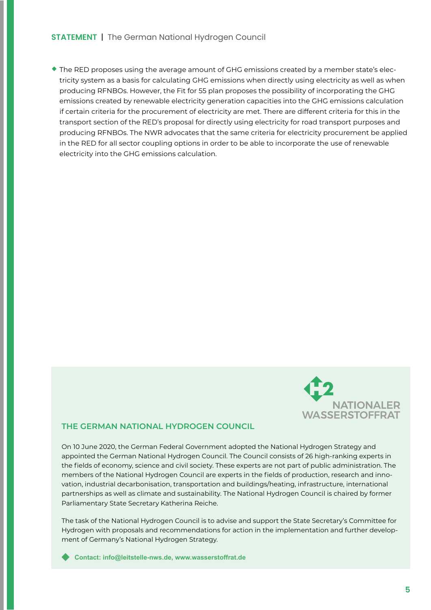## **STATEMENT** | The German National Hydrogen Council

¡ The RED proposes using the average amount of GHG emissions created by a member state's electricity system as a basis for calculating GHG emissions when directly using electricity as well as when producing RFNBOs. However, the Fit for 55 plan proposes the possibility of incorporating the GHG emissions created by renewable electricity generation capacities into the GHG emissions calculation if certain criteria for the procurement of electricity are met. There are different criteria for this in the transport section of the RED's proposal for directly using electricity for road transport purposes and producing RFNBOs. The NWR advocates that the same criteria for electricity procurement be applied in the RED for all sector coupling options in order to be able to incorporate the use of renewable electricity into the GHG emissions calculation.



## **THE GERMAN NATIONAL HYDROGEN COUNCIL**

On 10 June 2020, the German Federal Government adopted the National Hydrogen Strategy and appointed the German National Hydrogen Council. The Council consists of 26 high-ranking experts in the fields of economy, science and civil society. These experts are not part of public administration. The members of the National Hydrogen Council are experts in the fields of production, research and innovation, industrial decarbonisation, transportation and buildings/heating, infrastructure, international partnerships as well as climate and sustainability. The National Hydrogen Council is chaired by former Parliamentary State Secretary Katherina Reiche.

The task of the National Hydrogen Council is to advise and support the State Secretary's Committee for Hydrogen with proposals and recommendations for action in the implementation and further development of Germany's National Hydrogen Strategy.

**Contact: [info@leitstelle-nws.de,](mailto:info%40leitstelle-nws.de?subject=) [www.wasserstoffrat.de](https://www.wasserstoffrat.de)**